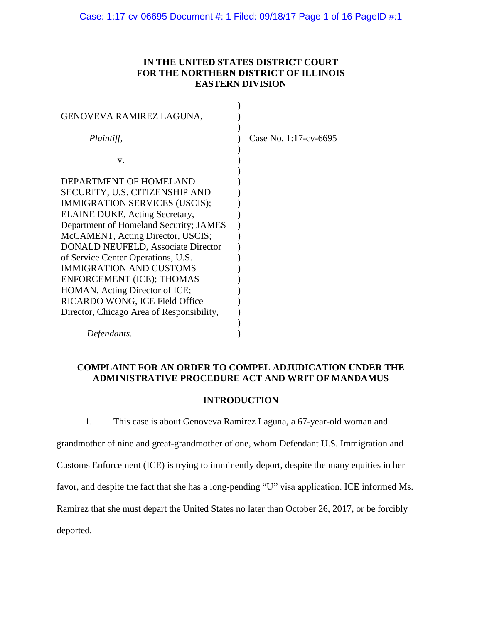# **IN THE UNITED STATES DISTRICT COURT FOR THE NORTHERN DISTRICT OF ILLINOIS EASTERN DIVISION**

| GENOVEVA RAMIREZ LAGUNA,                                                                                                                                                                                                                                                                                                                                                                       |                       |
|------------------------------------------------------------------------------------------------------------------------------------------------------------------------------------------------------------------------------------------------------------------------------------------------------------------------------------------------------------------------------------------------|-----------------------|
| Plaintiff,                                                                                                                                                                                                                                                                                                                                                                                     | Case No. 1:17-cv-6695 |
| V.                                                                                                                                                                                                                                                                                                                                                                                             |                       |
| DEPARTMENT OF HOMELAND<br>SECURITY, U.S. CITIZENSHIP AND<br>IMMIGRATION SERVICES (USCIS);<br>ELAINE DUKE, Acting Secretary,<br>Department of Homeland Security; JAMES<br>McCAMENT, Acting Director, USCIS;<br><b>DONALD NEUFELD, Associate Director</b><br>of Service Center Operations, U.S.<br><b>IMMIGRATION AND CUSTOMS</b><br>ENFORCEMENT (ICE); THOMAS<br>HOMAN, Acting Director of ICE; |                       |
| RICARDO WONG, ICE Field Office<br>Director, Chicago Area of Responsibility,                                                                                                                                                                                                                                                                                                                    |                       |
| Defendants.                                                                                                                                                                                                                                                                                                                                                                                    |                       |

# **COMPLAINT FOR AN ORDER TO COMPEL ADJUDICATION UNDER THE ADMINISTRATIVE PROCEDURE ACT AND WRIT OF MANDAMUS**

## **INTRODUCTION**

1. This case is about Genoveva Ramirez Laguna, a 67-year-old woman and grandmother of nine and great-grandmother of one, whom Defendant U.S. Immigration and Customs Enforcement (ICE) is trying to imminently deport, despite the many equities in her favor, and despite the fact that she has a long-pending "U" visa application. ICE informed Ms. Ramirez that she must depart the United States no later than October 26, 2017, or be forcibly deported.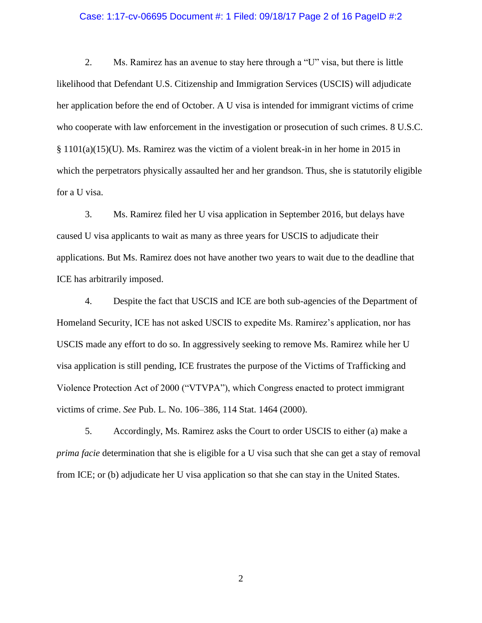### Case: 1:17-cv-06695 Document #: 1 Filed: 09/18/17 Page 2 of 16 PageID #:2

2. Ms. Ramirez has an avenue to stay here through a "U" visa, but there is little likelihood that Defendant U.S. Citizenship and Immigration Services (USCIS) will adjudicate her application before the end of October. A U visa is intended for immigrant victims of crime who cooperate with law enforcement in the investigation or prosecution of such crimes. 8 U.S.C. § 1101(a)(15)(U). Ms. Ramirez was the victim of a violent break-in in her home in 2015 in which the perpetrators physically assaulted her and her grandson. Thus, she is statutorily eligible for a U visa.

3. Ms. Ramirez filed her U visa application in September 2016, but delays have caused U visa applicants to wait as many as three years for USCIS to adjudicate their applications. But Ms. Ramirez does not have another two years to wait due to the deadline that ICE has arbitrarily imposed.

4. Despite the fact that USCIS and ICE are both sub-agencies of the Department of Homeland Security, ICE has not asked USCIS to expedite Ms. Ramirez's application, nor has USCIS made any effort to do so. In aggressively seeking to remove Ms. Ramirez while her U visa application is still pending, ICE frustrates the purpose of the Victims of Trafficking and Violence Protection Act of 2000 ("VTVPA"), which Congress enacted to protect immigrant victims of crime. *See* Pub. L. No. 106–386, 114 Stat. 1464 (2000).

5. Accordingly, Ms. Ramirez asks the Court to order USCIS to either (a) make a *prima facie* determination that she is eligible for a U visa such that she can get a stay of removal from ICE; or (b) adjudicate her U visa application so that she can stay in the United States.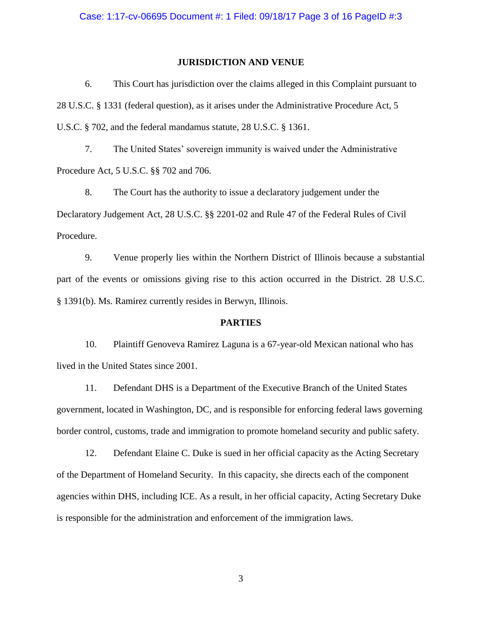## **JURISDICTION AND VENUE**

6. This Court has jurisdiction over the claims alleged in this Complaint pursuant to 28 U.S.C. § 1331 (federal question), as it arises under the Administrative Procedure Act, 5 U.S.C. § 702, and the federal mandamus statute, 28 U.S.C. § 1361.

7. The United States' sovereign immunity is waived under the Administrative Procedure Act, 5 U.S.C. §§ 702 and 706.

8. The Court has the authority to issue a declaratory judgement under the Declaratory Judgement Act, 28 U.S.C. §§ 2201-02 and Rule 47 of the Federal Rules of Civil Procedure.

9. Venue properly lies within the Northern District of Illinois because a substantial part of the events or omissions giving rise to this action occurred in the District. 28 U.S.C. § 1391(b). Ms. Ramirez currently resides in Berwyn, Illinois.

### **PARTIES**

10. Plaintiff Genoveva Ramirez Laguna is a 67-year-old Mexican national who has lived in the United States since 2001.

11. Defendant DHS is a Department of the Executive Branch of the United States government, located in Washington, DC, and is responsible for enforcing federal laws governing border control, customs, trade and immigration to promote homeland security and public safety.

12. Defendant Elaine C. Duke is sued in her official capacity as the Acting Secretary of the Department of Homeland Security. In this capacity, she directs each of the component agencies within DHS, including ICE. As a result, in her official capacity, Acting Secretary Duke is responsible for the administration and enforcement of the immigration laws.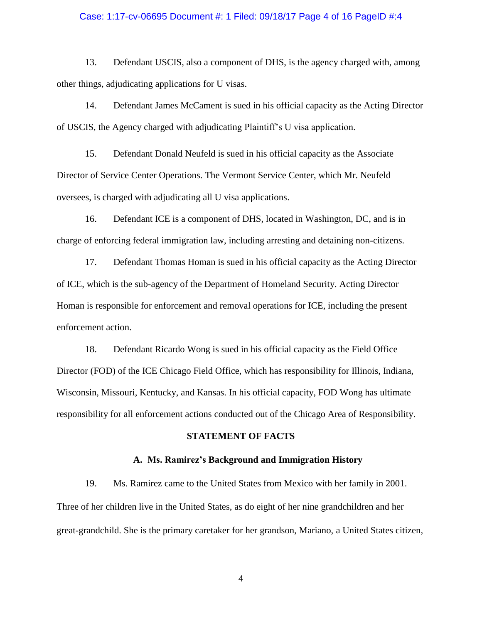### Case: 1:17-cv-06695 Document #: 1 Filed: 09/18/17 Page 4 of 16 PageID #:4

13. Defendant USCIS, also a component of DHS, is the agency charged with, among other things, adjudicating applications for U visas.

14. Defendant James McCament is sued in his official capacity as the Acting Director of USCIS, the Agency charged with adjudicating Plaintiff's U visa application.

15. Defendant Donald Neufeld is sued in his official capacity as the Associate Director of Service Center Operations. The Vermont Service Center, which Mr. Neufeld oversees, is charged with adjudicating all U visa applications.

16. Defendant ICE is a component of DHS, located in Washington, DC, and is in charge of enforcing federal immigration law, including arresting and detaining non-citizens.

17. Defendant Thomas Homan is sued in his official capacity as the Acting Director of ICE, which is the sub-agency of the Department of Homeland Security. Acting Director Homan is responsible for enforcement and removal operations for ICE, including the present enforcement action.

18. Defendant Ricardo Wong is sued in his official capacity as the Field Office Director (FOD) of the ICE Chicago Field Office, which has responsibility for Illinois, Indiana, Wisconsin, Missouri, Kentucky, and Kansas. In his official capacity, FOD Wong has ultimate responsibility for all enforcement actions conducted out of the Chicago Area of Responsibility.

#### **STATEMENT OF FACTS**

### **A. Ms. Ramirez's Background and Immigration History**

19. Ms. Ramirez came to the United States from Mexico with her family in 2001. Three of her children live in the United States, as do eight of her nine grandchildren and her great-grandchild. She is the primary caretaker for her grandson, Mariano, a United States citizen,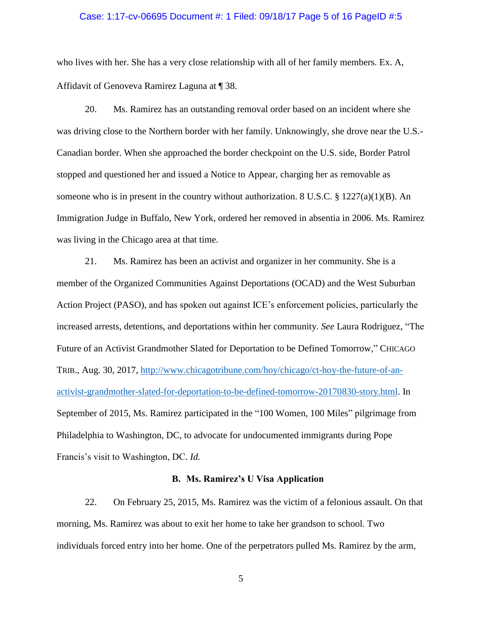#### Case: 1:17-cv-06695 Document #: 1 Filed: 09/18/17 Page 5 of 16 PageID #:5

who lives with her. She has a very close relationship with all of her family members. Ex. A, Affidavit of Genoveva Ramirez Laguna at ¶ 38.

20. Ms. Ramirez has an outstanding removal order based on an incident where she was driving close to the Northern border with her family. Unknowingly, she drove near the U.S.- Canadian border. When she approached the border checkpoint on the U.S. side, Border Patrol stopped and questioned her and issued a Notice to Appear, charging her as removable as someone who is in present in the country without authorization. 8 U.S.C.  $\S 1227(a)(1)(B)$ . An Immigration Judge in Buffalo, New York, ordered her removed in absentia in 2006. Ms. Ramirez was living in the Chicago area at that time.

21. Ms. Ramirez has been an activist and organizer in her community. She is a member of the Organized Communities Against Deportations (OCAD) and the West Suburban Action Project (PASO), and has spoken out against ICE's enforcement policies, particularly the increased arrests, detentions, and deportations within her community. *See* Laura Rodriguez, "The Future of an Activist Grandmother Slated for Deportation to be Defined Tomorrow," CHICAGO TRIB., Aug. 30, 2017, [http://www.chicagotribune.com/hoy/chicago/ct-hoy-the-future-of-an](http://www.chicagotribune.com/hoy/chicago/ct-hoy-the-future-of-an-activist-grandmother-slated-for-deportation-to-be-defined-tomorrow-20170830-story.html)[activist-grandmother-slated-for-deportation-to-be-defined-tomorrow-20170830-story.html.](http://www.chicagotribune.com/hoy/chicago/ct-hoy-the-future-of-an-activist-grandmother-slated-for-deportation-to-be-defined-tomorrow-20170830-story.html) In September of 2015, Ms. Ramirez participated in the "100 Women, 100 Miles" pilgrimage from Philadelphia to Washington, DC, to advocate for undocumented immigrants during Pope Francis's visit to Washington, DC. *Id.* 

### **B. Ms. Ramirez's U Visa Application**

22. On February 25, 2015, Ms. Ramirez was the victim of a felonious assault. On that morning, Ms. Ramirez was about to exit her home to take her grandson to school. Two individuals forced entry into her home. One of the perpetrators pulled Ms. Ramirez by the arm,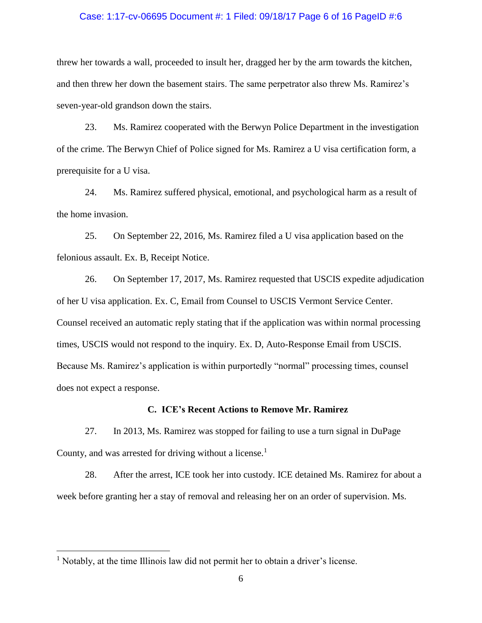### Case: 1:17-cv-06695 Document #: 1 Filed: 09/18/17 Page 6 of 16 PageID #:6

threw her towards a wall, proceeded to insult her, dragged her by the arm towards the kitchen, and then threw her down the basement stairs. The same perpetrator also threw Ms. Ramirez's seven-year-old grandson down the stairs.

23. Ms. Ramirez cooperated with the Berwyn Police Department in the investigation of the crime. The Berwyn Chief of Police signed for Ms. Ramirez a U visa certification form, a prerequisite for a U visa.

24. Ms. Ramirez suffered physical, emotional, and psychological harm as a result of the home invasion.

25. On September 22, 2016, Ms. Ramirez filed a U visa application based on the felonious assault. Ex. B, Receipt Notice.

26. On September 17, 2017, Ms. Ramirez requested that USCIS expedite adjudication of her U visa application. Ex. C, Email from Counsel to USCIS Vermont Service Center. Counsel received an automatic reply stating that if the application was within normal processing times, USCIS would not respond to the inquiry. Ex. D, Auto-Response Email from USCIS. Because Ms. Ramirez's application is within purportedly "normal" processing times, counsel does not expect a response.

## **C. ICE's Recent Actions to Remove Mr. Ramirez**

27. In 2013, Ms. Ramirez was stopped for failing to use a turn signal in DuPage County, and was arrested for driving without a license.<sup>1</sup>

28. After the arrest, ICE took her into custody. ICE detained Ms. Ramirez for about a week before granting her a stay of removal and releasing her on an order of supervision. Ms.

 $\overline{a}$ 

 $<sup>1</sup>$  Notably, at the time Illinois law did not permit her to obtain a driver's license.</sup>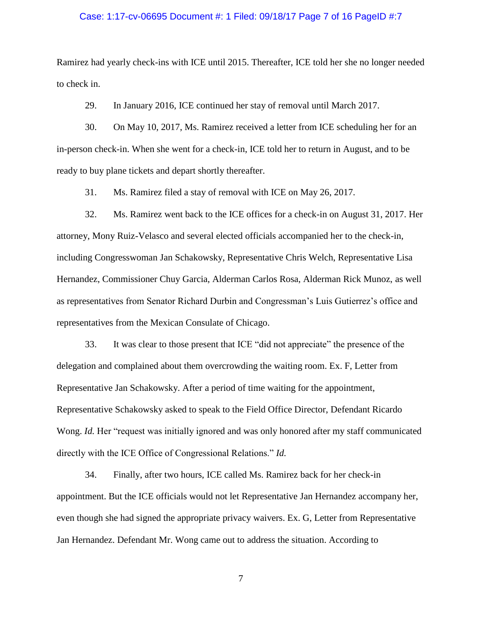#### Case: 1:17-cv-06695 Document #: 1 Filed: 09/18/17 Page 7 of 16 PageID #:7

Ramirez had yearly check-ins with ICE until 2015. Thereafter, ICE told her she no longer needed to check in.

29. In January 2016, ICE continued her stay of removal until March 2017.

30. On May 10, 2017, Ms. Ramirez received a letter from ICE scheduling her for an in-person check-in. When she went for a check-in, ICE told her to return in August, and to be ready to buy plane tickets and depart shortly thereafter.

31. Ms. Ramirez filed a stay of removal with ICE on May 26, 2017.

32. Ms. Ramirez went back to the ICE offices for a check-in on August 31, 2017. Her attorney, Mony Ruiz-Velasco and several elected officials accompanied her to the check-in, including Congresswoman Jan Schakowsky, Representative Chris Welch, Representative Lisa Hernandez, Commissioner Chuy Garcia, Alderman Carlos Rosa, Alderman Rick Munoz, as well as representatives from Senator Richard Durbin and Congressman's Luis Gutierrez's office and representatives from the Mexican Consulate of Chicago.

33. It was clear to those present that ICE "did not appreciate" the presence of the delegation and complained about them overcrowding the waiting room. Ex. F, Letter from Representative Jan Schakowsky. After a period of time waiting for the appointment, Representative Schakowsky asked to speak to the Field Office Director, Defendant Ricardo Wong. *Id.* Her "request was initially ignored and was only honored after my staff communicated directly with the ICE Office of Congressional Relations." *Id.* 

34. Finally, after two hours, ICE called Ms. Ramirez back for her check-in appointment. But the ICE officials would not let Representative Jan Hernandez accompany her, even though she had signed the appropriate privacy waivers. Ex. G, Letter from Representative Jan Hernandez. Defendant Mr. Wong came out to address the situation. According to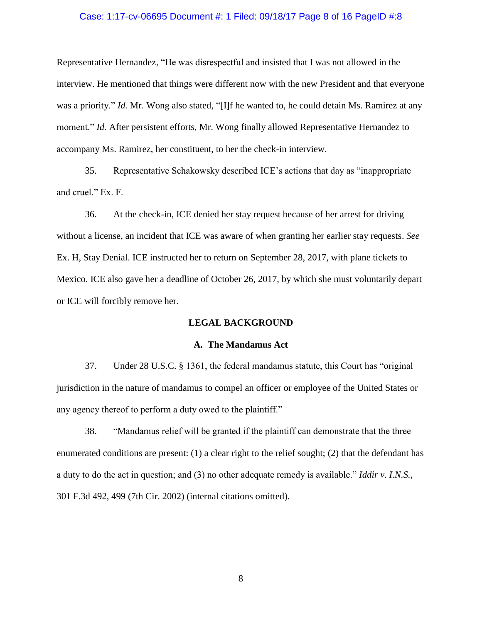### Case: 1:17-cv-06695 Document #: 1 Filed: 09/18/17 Page 8 of 16 PageID #:8

Representative Hernandez, "He was disrespectful and insisted that I was not allowed in the interview. He mentioned that things were different now with the new President and that everyone was a priority." *Id.* Mr. Wong also stated, "[I]f he wanted to, he could detain Ms. Ramirez at any moment." *Id.* After persistent efforts, Mr. Wong finally allowed Representative Hernandez to accompany Ms. Ramirez, her constituent, to her the check-in interview.

35. Representative Schakowsky described ICE's actions that day as "inappropriate and cruel." Ex. F.

36. At the check-in, ICE denied her stay request because of her arrest for driving without a license, an incident that ICE was aware of when granting her earlier stay requests. *See*  Ex. H, Stay Denial. ICE instructed her to return on September 28, 2017, with plane tickets to Mexico. ICE also gave her a deadline of October 26, 2017, by which she must voluntarily depart or ICE will forcibly remove her.

## **LEGAL BACKGROUND**

#### **A. The Mandamus Act**

37. Under 28 U.S.C. § 1361, the federal mandamus statute, this Court has "original jurisdiction in the nature of mandamus to compel an officer or employee of the United States or any agency thereof to perform a duty owed to the plaintiff."

38. "Mandamus relief will be granted if the plaintiff can demonstrate that the three enumerated conditions are present: (1) a clear right to the relief sought; (2) that the defendant has a duty to do the act in question; and (3) no other adequate remedy is available." *Iddir v. I.N.S.*, 301 F.3d 492, 499 (7th Cir. 2002) (internal citations omitted).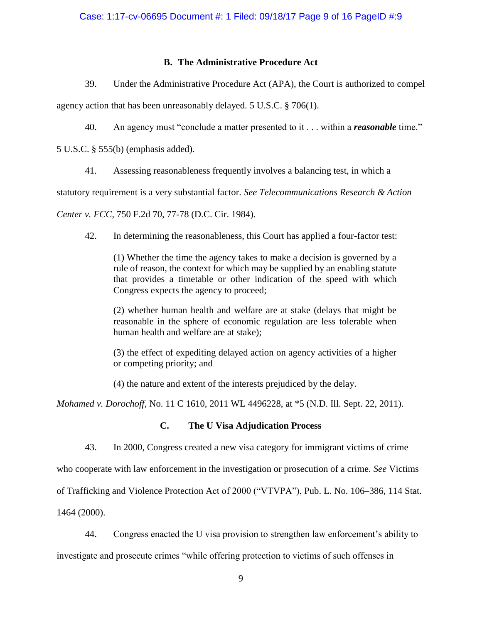## **B. The Administrative Procedure Act**

39. Under the Administrative Procedure Act (APA), the Court is authorized to compel

agency action that has been unreasonably delayed. 5 U.S.C. § 706(1).

40. An agency must "conclude a matter presented to it . . . within a *reasonable* time."

5 U.S.C. § 555(b) (emphasis added).

41. Assessing reasonableness frequently involves a balancing test, in which a

statutory requirement is a very substantial factor. *See Telecommunications Research & Action* 

*Center v. FCC*, 750 F.2d 70, 77-78 (D.C. Cir. 1984).

42. In determining the reasonableness, this Court has applied a four-factor test:

(1) Whether the time the agency takes to make a decision is governed by a rule of reason, the context for which may be supplied by an enabling statute that provides a timetable or other indication of the speed with which Congress expects the agency to proceed;

(2) whether human health and welfare are at stake (delays that might be reasonable in the sphere of economic regulation are less tolerable when human health and welfare are at stake);

(3) the effect of expediting delayed action on agency activities of a higher or competing priority; and

(4) the nature and extent of the interests prejudiced by the delay.

*Mohamed v. Dorochoff*, No. 11 C 1610, 2011 WL 4496228, at \*5 (N.D. Ill. Sept. 22, 2011).

## **C. The U Visa Adjudication Process**

43. In 2000, Congress created a new visa category for immigrant victims of crime

who cooperate with law enforcement in the investigation or prosecution of a crime. *See* Victims

of Trafficking and Violence Protection Act of 2000 ("VTVPA"), Pub. L. No. 106–386, 114 Stat.

1464 (2000).

44. Congress enacted the U visa provision to strengthen law enforcement's ability to investigate and prosecute crimes "while offering protection to victims of such offenses in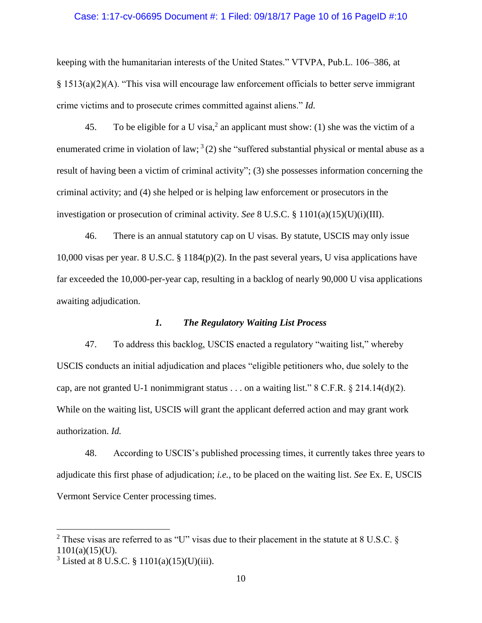### Case: 1:17-cv-06695 Document #: 1 Filed: 09/18/17 Page 10 of 16 PageID #:10

keeping with the humanitarian interests of the United States." VTVPA, Pub.L. 106–386, at § 1513(a)(2)(A). "This visa will encourage law enforcement officials to better serve immigrant crime victims and to prosecute crimes committed against aliens." *Id.* 

45. To be eligible for a U visa,<sup>2</sup> an applicant must show: (1) she was the victim of a enumerated crime in violation of law;  $3(2)$  she "suffered substantial physical or mental abuse as a result of having been a victim of criminal activity"; (3) she possesses information concerning the criminal activity; and (4) she helped or is helping law enforcement or prosecutors in the investigation or prosecution of criminal activity. *See* 8 U.S.C. § 1101(a)(15)(U)(i)(III).

46. There is an annual statutory cap on U visas. By statute, USCIS may only issue 10,000 visas per year. 8 U.S.C. § 1184(p)(2). In the past several years, U visa applications have far exceeded the 10,000-per-year cap, resulting in a backlog of nearly 90,000 U visa applications awaiting adjudication.

## *1. The Regulatory Waiting List Process*

47. To address this backlog, USCIS enacted a regulatory "waiting list," whereby USCIS conducts an initial adjudication and places "eligible petitioners who, due solely to the cap, are not granted U-1 nonimmigrant status . . . on a waiting list." 8 C.F.R.  $\S 214.14(d)(2)$ . While on the waiting list, USCIS will grant the applicant deferred action and may grant work authorization. *Id.* 

48. According to USCIS's published processing times, it currently takes three years to adjudicate this first phase of adjudication; *i.e.*, to be placed on the waiting list. *See* Ex. E, USCIS Vermont Service Center processing times.

 $\overline{a}$ 

<sup>&</sup>lt;sup>2</sup> These visas are referred to as "U" visas due to their placement in the statute at 8 U.S.C.  $\delta$ 1101(a)(15)(U).

 $3$  Listed at 8 U.S.C. § 1101(a)(15)(U)(iii).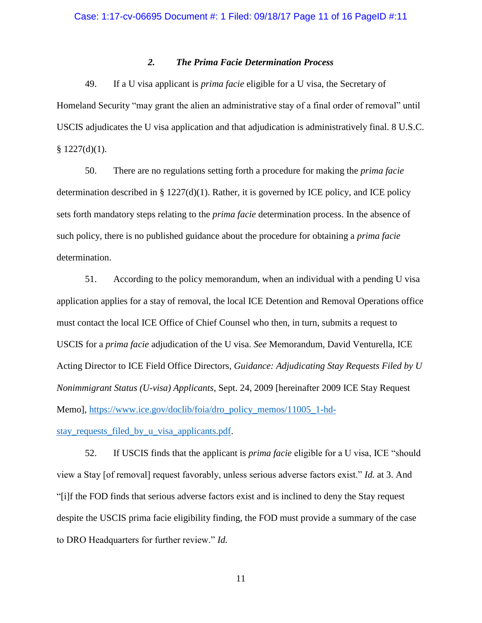## *2. The Prima Facie Determination Process*

49. If a U visa applicant is *prima facie* eligible for a U visa, the Secretary of Homeland Security "may grant the alien an administrative stay of a final order of removal" until USCIS adjudicates the U visa application and that adjudication is administratively final. 8 U.S.C.  $$ 1227(d)(1).$ 

50. There are no regulations setting forth a procedure for making the *prima facie*  determination described in § 1227(d)(1). Rather, it is governed by ICE policy, and ICE policy sets forth mandatory steps relating to the *prima facie* determination process. In the absence of such policy, there is no published guidance about the procedure for obtaining a *prima facie*  determination.

51. According to the policy memorandum, when an individual with a pending U visa application applies for a stay of removal, the local ICE Detention and Removal Operations office must contact the local ICE Office of Chief Counsel who then, in turn, submits a request to USCIS for a *prima facie* adjudication of the U visa. *See* Memorandum, David Venturella, ICE Acting Director to ICE Field Office Directors, *Guidance: Adjudicating Stay Requests Filed by U Nonimmigrant Status (U-visa) Applicants*, Sept. 24, 2009 [hereinafter 2009 ICE Stay Request Memo], [https://www.ice.gov/doclib/foia/dro\\_policy\\_memos/11005\\_1-hd-](https://www.ice.gov/doclib/foia/dro_policy_memos/11005_1-hd-stay_requests_filed_by_u_visa_applicants.pdf)

[stay\\_requests\\_filed\\_by\\_u\\_visa\\_applicants.pdf.](https://www.ice.gov/doclib/foia/dro_policy_memos/11005_1-hd-stay_requests_filed_by_u_visa_applicants.pdf)

52. If USCIS finds that the applicant is *prima facie* eligible for a U visa, ICE "should view a Stay [of removal] request favorably, unless serious adverse factors exist." *Id.* at 3. And "[i]f the FOD finds that serious adverse factors exist and is inclined to deny the Stay request despite the USCIS prima facie eligibility finding, the FOD must provide a summary of the case to DRO Headquarters for further review." *Id.*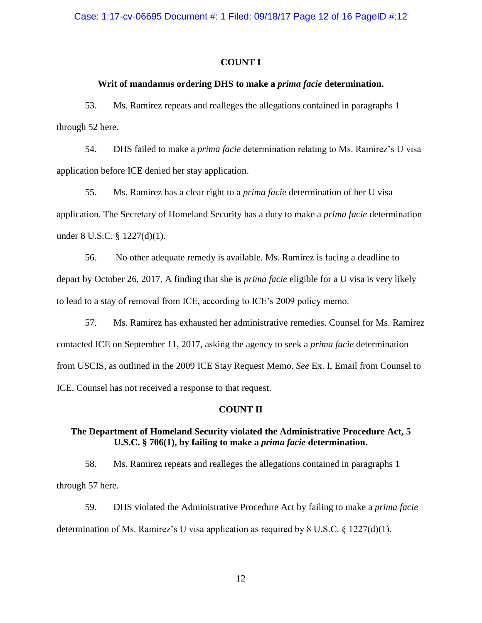## **COUNT I**

## **Writ of mandamus ordering DHS to make a** *prima facie* **determination.**

53. Ms. Ramirez repeats and realleges the allegations contained in paragraphs 1 through 52 here.

54. DHS failed to make a *prima facie* determination relating to Ms. Ramirez's U visa application before ICE denied her stay application.

55. Ms. Ramirez has a clear right to a *prima facie* determination of her U visa application. The Secretary of Homeland Security has a duty to make a *prima facie* determination under 8 U.S.C. § 1227(d)(1).

56. No other adequate remedy is available. Ms. Ramirez is facing a deadline to depart by October 26, 2017. A finding that she is *prima facie* eligible for a U visa is very likely to lead to a stay of removal from ICE, according to ICE's 2009 policy memo.

57. Ms. Ramirez has exhausted her administrative remedies. Counsel for Ms. Ramirez contacted ICE on September 11, 2017, asking the agency to seek a *prima facie* determination from USCIS, as outlined in the 2009 ICE Stay Request Memo. *See* Ex. I, Email from Counsel to ICE. Counsel has not received a response to that request.

### **COUNT II**

## **The Department of Homeland Security violated the Administrative Procedure Act, 5 U.S.C. § 706(1), by failing to make a** *prima facie* **determination.**

58. Ms. Ramirez repeats and realleges the allegations contained in paragraphs 1 through 57 here.

59. DHS violated the Administrative Procedure Act by failing to make a *prima facie*  determination of Ms. Ramirez's U visa application as required by 8 U.S.C.  $\S$  1227(d)(1).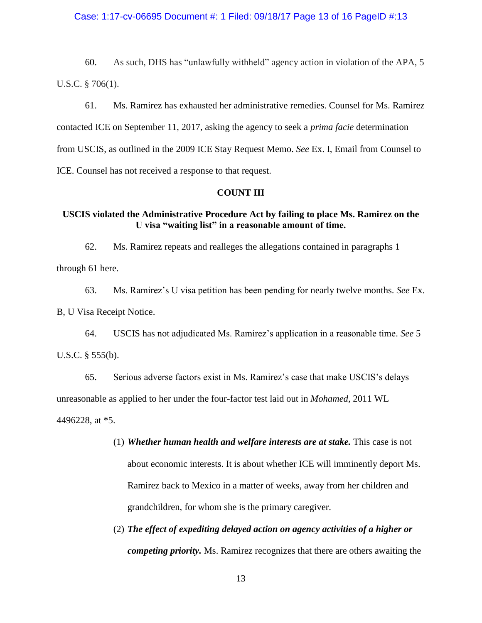#### Case: 1:17-cv-06695 Document #: 1 Filed: 09/18/17 Page 13 of 16 PageID #:13

60. As such, DHS has "unlawfully withheld" agency action in violation of the APA, 5 U.S.C. § 706(1).

61. Ms. Ramirez has exhausted her administrative remedies. Counsel for Ms. Ramirez contacted ICE on September 11, 2017, asking the agency to seek a *prima facie* determination from USCIS, as outlined in the 2009 ICE Stay Request Memo. *See* Ex. I, Email from Counsel to ICE. Counsel has not received a response to that request.

## **COUNT III**

## **USCIS violated the Administrative Procedure Act by failing to place Ms. Ramirez on the U visa "waiting list" in a reasonable amount of time.**

62. Ms. Ramirez repeats and realleges the allegations contained in paragraphs 1 through 61 here.

63. Ms. Ramirez's U visa petition has been pending for nearly twelve months. *See* Ex. B, U Visa Receipt Notice.

64. USCIS has not adjudicated Ms. Ramirez's application in a reasonable time. *See* 5 U.S.C. § 555(b).

65. Serious adverse factors exist in Ms. Ramirez's case that make USCIS's delays unreasonable as applied to her under the four-factor test laid out in *Mohamed,* 2011 WL 4496228, at \*5.

- (1) *Whether human health and welfare interests are at stake.* This case is not about economic interests. It is about whether ICE will imminently deport Ms. Ramirez back to Mexico in a matter of weeks, away from her children and grandchildren, for whom she is the primary caregiver.
- (2) *The effect of expediting delayed action on agency activities of a higher or competing priority.* Ms. Ramirez recognizes that there are others awaiting the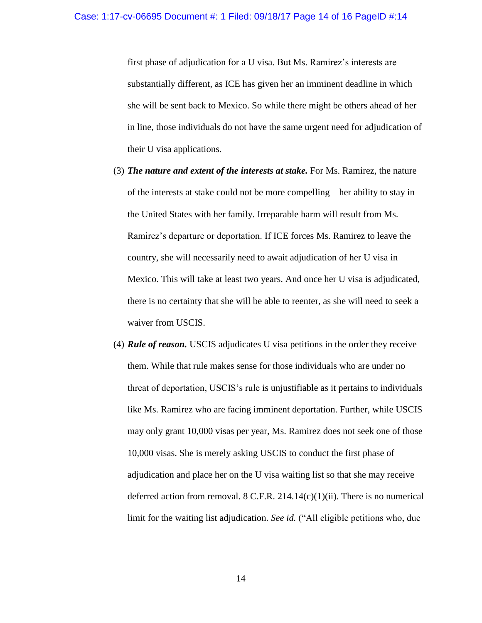first phase of adjudication for a U visa. But Ms. Ramirez's interests are substantially different, as ICE has given her an imminent deadline in which she will be sent back to Mexico. So while there might be others ahead of her in line, those individuals do not have the same urgent need for adjudication of their U visa applications.

- (3) *The nature and extent of the interests at stake.* For Ms. Ramirez, the nature of the interests at stake could not be more compelling—her ability to stay in the United States with her family. Irreparable harm will result from Ms. Ramirez's departure or deportation. If ICE forces Ms. Ramirez to leave the country, she will necessarily need to await adjudication of her U visa in Mexico. This will take at least two years. And once her U visa is adjudicated, there is no certainty that she will be able to reenter, as she will need to seek a waiver from USCIS.
- (4) *Rule of reason.* USCIS adjudicates U visa petitions in the order they receive them. While that rule makes sense for those individuals who are under no threat of deportation, USCIS's rule is unjustifiable as it pertains to individuals like Ms. Ramirez who are facing imminent deportation. Further, while USCIS may only grant 10,000 visas per year, Ms. Ramirez does not seek one of those 10,000 visas. She is merely asking USCIS to conduct the first phase of adjudication and place her on the U visa waiting list so that she may receive deferred action from removal. 8 C.F.R. 214.14 $(c)(1)(ii)$ . There is no numerical limit for the waiting list adjudication. *See id.* ("All eligible petitions who, due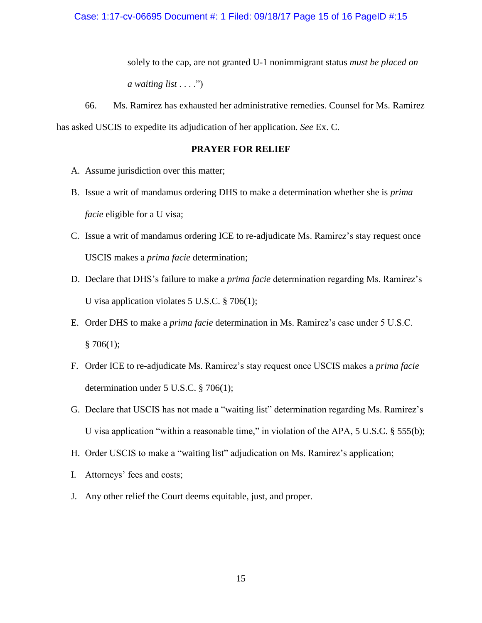solely to the cap, are not granted U-1 nonimmigrant status *must be placed on a waiting list* . . . .")

66. Ms. Ramirez has exhausted her administrative remedies. Counsel for Ms. Ramirez has asked USCIS to expedite its adjudication of her application. *See* Ex. C.

## **PRAYER FOR RELIEF**

- A. Assume jurisdiction over this matter;
- B. Issue a writ of mandamus ordering DHS to make a determination whether she is *prima facie* eligible for a U visa;
- C. Issue a writ of mandamus ordering ICE to re-adjudicate Ms. Ramirez's stay request once USCIS makes a *prima facie* determination;
- D. Declare that DHS's failure to make a *prima facie* determination regarding Ms. Ramirez's U visa application violates 5 U.S.C. § 706(1);
- E. Order DHS to make a *prima facie* determination in Ms. Ramirez's case under 5 U.S.C.  $§ 706(1);$
- F. Order ICE to re-adjudicate Ms. Ramirez's stay request once USCIS makes a *prima facie*  determination under 5 U.S.C. § 706(1);
- G. Declare that USCIS has not made a "waiting list" determination regarding Ms. Ramirez's U visa application "within a reasonable time," in violation of the APA, 5 U.S.C. § 555(b);
- H. Order USCIS to make a "waiting list" adjudication on Ms. Ramirez's application;
- I. Attorneys' fees and costs;
- J. Any other relief the Court deems equitable, just, and proper.